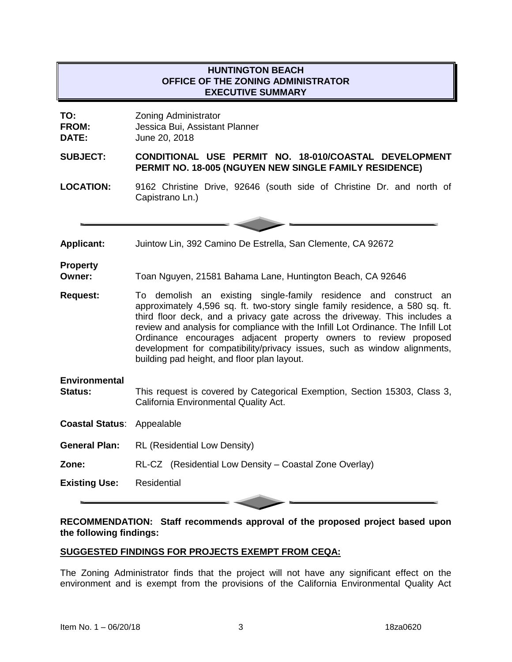## **HUNTINGTON BEACH OFFICE OF THE ZONING ADMINISTRATOR EXECUTIVE SUMMARY**

**TO:** Zoning Administrator **FROM:** Jessica Bui, Assistant Planner

**DATE:** June 20, 2018

**SUBJECT: CONDITIONAL USE PERMIT NO. 18-010/COASTAL DEVELOPMENT PERMIT NO. 18-005 (NGUYEN NEW SINGLE FAMILY RESIDENCE)**

**LOCATION:** 9162 Christine Drive, 92646 (south side of Christine Dr. and north of Capistrano Ln.)

**Applicant:** Juintow Lin, 392 Camino De Estrella, San Clemente, CA 92672

## **Property**

**Owner:** Toan Nguyen, 21581 Bahama Lane, Huntington Beach, CA 92646

- **Request:** To demolish an existing single-family residence and construct an approximately 4,596 sq. ft. two-story single family residence, a 580 sq. ft. third floor deck, and a privacy gate across the driveway. This includes a review and analysis for compliance with the Infill Lot Ordinance. The Infill Lot Ordinance encourages adjacent property owners to review proposed development for compatibility/privacy issues, such as window alignments, building pad height, and floor plan layout.
- **Environmental Status:** This request is covered by Categorical Exemption, Section 15303, Class 3, California Environmental Quality Act.

**Coastal Status**: Appealable

- **General Plan:** RL (Residential Low Density)
- **Zone:** RL-CZ (Residential Low Density Coastal Zone Overlay)

**Existing Use:** Residential

**RECOMMENDATION: Staff recommends approval of the proposed project based upon the following findings:**

# **SUGGESTED FINDINGS FOR PROJECTS EXEMPT FROM CEQA:**

The Zoning Administrator finds that the project will not have any significant effect on the environment and is exempt from the provisions of the California Environmental Quality Act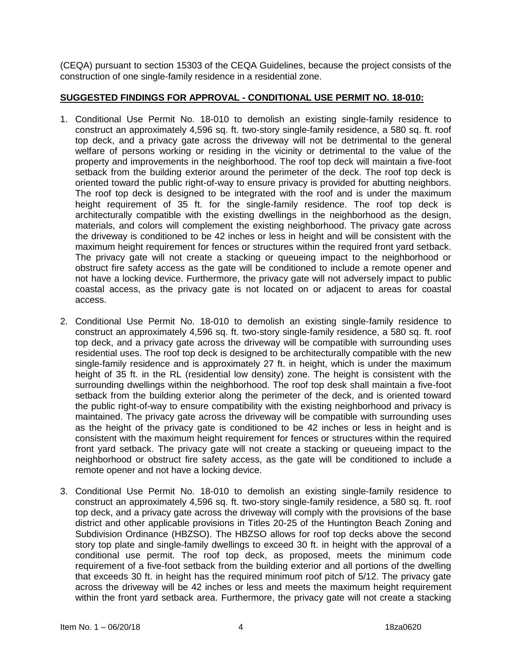(CEQA) pursuant to section 15303 of the CEQA Guidelines, because the project consists of the construction of one single-family residence in a residential zone.

### **SUGGESTED FINDINGS FOR APPROVAL - CONDITIONAL USE PERMIT NO. 18-010:**

- 1. Conditional Use Permit No. 18-010 to demolish an existing single-family residence to construct an approximately 4,596 sq. ft. two-story single-family residence, a 580 sq. ft. roof top deck, and a privacy gate across the driveway will not be detrimental to the general welfare of persons working or residing in the vicinity or detrimental to the value of the property and improvements in the neighborhood. The roof top deck will maintain a five-foot setback from the building exterior around the perimeter of the deck. The roof top deck is oriented toward the public right-of-way to ensure privacy is provided for abutting neighbors. The roof top deck is designed to be integrated with the roof and is under the maximum height requirement of 35 ft. for the single-family residence. The roof top deck is architecturally compatible with the existing dwellings in the neighborhood as the design, materials, and colors will complement the existing neighborhood. The privacy gate across the driveway is conditioned to be 42 inches or less in height and will be consistent with the maximum height requirement for fences or structures within the required front yard setback. The privacy gate will not create a stacking or queueing impact to the neighborhood or obstruct fire safety access as the gate will be conditioned to include a remote opener and not have a locking device. Furthermore, the privacy gate will not adversely impact to public coastal access, as the privacy gate is not located on or adjacent to areas for coastal access.
- 2. Conditional Use Permit No. 18-010 to demolish an existing single-family residence to construct an approximately 4,596 sq. ft. two-story single-family residence, a 580 sq. ft. roof top deck, and a privacy gate across the driveway will be compatible with surrounding uses residential uses. The roof top deck is designed to be architecturally compatible with the new single-family residence and is approximately 27 ft. in height, which is under the maximum height of 35 ft. in the RL (residential low density) zone. The height is consistent with the surrounding dwellings within the neighborhood. The roof top desk shall maintain a five-foot setback from the building exterior along the perimeter of the deck, and is oriented toward the public right-of-way to ensure compatibility with the existing neighborhood and privacy is maintained. The privacy gate across the driveway will be compatible with surrounding uses as the height of the privacy gate is conditioned to be 42 inches or less in height and is consistent with the maximum height requirement for fences or structures within the required front yard setback. The privacy gate will not create a stacking or queueing impact to the neighborhood or obstruct fire safety access, as the gate will be conditioned to include a remote opener and not have a locking device.
- 3. Conditional Use Permit No. 18-010 to demolish an existing single-family residence to construct an approximately 4,596 sq. ft. two-story single-family residence, a 580 sq. ft. roof top deck, and a privacy gate across the driveway will comply with the provisions of the base district and other applicable provisions in Titles 20-25 of the Huntington Beach Zoning and Subdivision Ordinance (HBZSO). The HBZSO allows for roof top decks above the second story top plate and single-family dwellings to exceed 30 ft. in height with the approval of a conditional use permit. The roof top deck, as proposed, meets the minimum code requirement of a five-foot setback from the building exterior and all portions of the dwelling that exceeds 30 ft. in height has the required minimum roof pitch of 5/12. The privacy gate across the driveway will be 42 inches or less and meets the maximum height requirement within the front yard setback area. Furthermore, the privacy gate will not create a stacking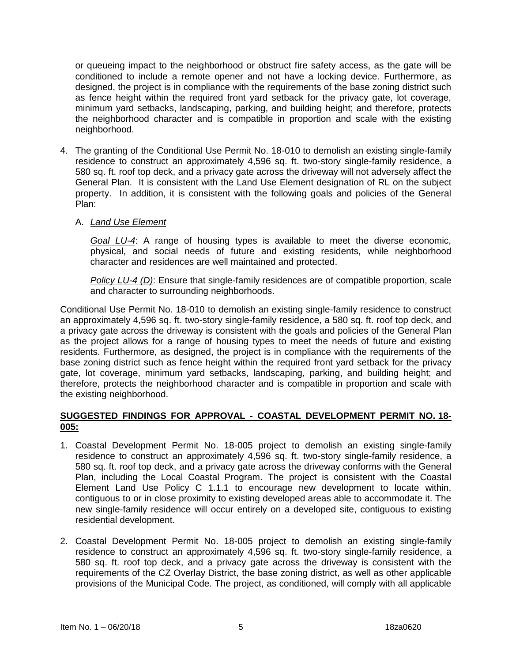or queueing impact to the neighborhood or obstruct fire safety access, as the gate will be conditioned to include a remote opener and not have a locking device. Furthermore, as designed, the project is in compliance with the requirements of the base zoning district such as fence height within the required front yard setback for the privacy gate, lot coverage, minimum yard setbacks, landscaping, parking, and building height; and therefore, protects the neighborhood character and is compatible in proportion and scale with the existing neighborhood.

4. The granting of the Conditional Use Permit No. 18-010 to demolish an existing single-family residence to construct an approximately 4,596 sq. ft. two-story single-family residence, a 580 sq. ft. roof top deck, and a privacy gate across the driveway will not adversely affect the General Plan. It is consistent with the Land Use Element designation of RL on the subject property. In addition, it is consistent with the following goals and policies of the General Plan:

### A. *Land Use Element*

*Goal LU-4*: A range of housing types is available to meet the diverse economic, physical, and social needs of future and existing residents, while neighborhood character and residences are well maintained and protected.

*Policy LU-4 (D)*: Ensure that single-family residences are of compatible proportion, scale and character to surrounding neighborhoods.

Conditional Use Permit No. 18-010 to demolish an existing single-family residence to construct an approximately 4,596 sq. ft. two-story single-family residence, a 580 sq. ft. roof top deck, and a privacy gate across the driveway is consistent with the goals and policies of the General Plan as the project allows for a range of housing types to meet the needs of future and existing residents. Furthermore, as designed, the project is in compliance with the requirements of the base zoning district such as fence height within the required front yard setback for the privacy gate, lot coverage, minimum yard setbacks, landscaping, parking, and building height; and therefore, protects the neighborhood character and is compatible in proportion and scale with the existing neighborhood.

### **SUGGESTED FINDINGS FOR APPROVAL - COASTAL DEVELOPMENT PERMIT NO. 18- 005:**

- 1. Coastal Development Permit No. 18-005 project to demolish an existing single-family residence to construct an approximately 4,596 sq. ft. two-story single-family residence, a 580 sq. ft. roof top deck, and a privacy gate across the driveway conforms with the General Plan, including the Local Coastal Program. The project is consistent with the Coastal Element Land Use Policy C 1.1.1 to encourage new development to locate within, contiguous to or in close proximity to existing developed areas able to accommodate it. The new single-family residence will occur entirely on a developed site, contiguous to existing residential development.
- 2. Coastal Development Permit No. 18-005 project to demolish an existing single-family residence to construct an approximately 4,596 sq. ft. two-story single-family residence, a 580 sq. ft. roof top deck, and a privacy gate across the driveway is consistent with the requirements of the CZ Overlay District, the base zoning district, as well as other applicable provisions of the Municipal Code. The project, as conditioned, will comply with all applicable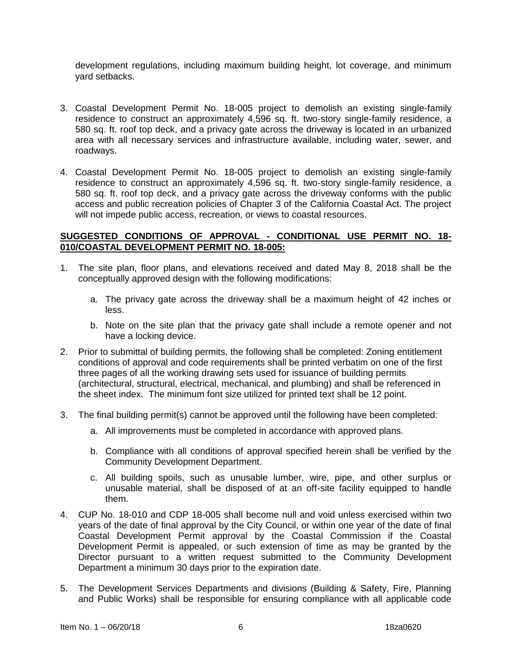development regulations, including maximum building height, lot coverage, and minimum yard setbacks.

- 3. Coastal Development Permit No. 18-005 project to demolish an existing single-family residence to construct an approximately 4,596 sq. ft. two-story single-family residence, a 580 sq. ft. roof top deck, and a privacy gate across the driveway is located in an urbanized area with all necessary services and infrastructure available, including water, sewer, and roadways.
- 4. Coastal Development Permit No. 18-005 project to demolish an existing single-family residence to construct an approximately 4,596 sq. ft. two-story single-family residence, a 580 sq. ft. roof top deck, and a privacy gate across the driveway conforms with the public access and public recreation policies of Chapter 3 of the California Coastal Act. The project will not impede public access, recreation, or views to coastal resources.

#### **SUGGESTED CONDITIONS OF APPROVAL - CONDITIONAL USE PERMIT NO. 18- 010/COASTAL DEVELOPMENT PERMIT NO. 18-005:**

- 1. The site plan, floor plans, and elevations received and dated May 8, 2018 shall be the conceptually approved design with the following modifications:
	- a. The privacy gate across the driveway shall be a maximum height of 42 inches or less.
	- b. Note on the site plan that the privacy gate shall include a remote opener and not have a locking device.
- 2. Prior to submittal of building permits, the following shall be completed: Zoning entitlement conditions of approval and code requirements shall be printed verbatim on one of the first three pages of all the working drawing sets used for issuance of building permits (architectural, structural, electrical, mechanical, and plumbing) and shall be referenced in the sheet index. The minimum font size utilized for printed text shall be 12 point.
- 3. The final building permit(s) cannot be approved until the following have been completed:
	- a. All improvements must be completed in accordance with approved plans.
	- b. Compliance with all conditions of approval specified herein shall be verified by the Community Development Department.
	- c. All building spoils, such as unusable lumber, wire, pipe, and other surplus or unusable material, shall be disposed of at an off-site facility equipped to handle them.
- 4. CUP No. 18-010 and CDP 18-005 shall become null and void unless exercised within two years of the date of final approval by the City Council, or within one year of the date of final Coastal Development Permit approval by the Coastal Commission if the Coastal Development Permit is appealed, or such extension of time as may be granted by the Director pursuant to a written request submitted to the Community Development Department a minimum 30 days prior to the expiration date.
- 5. The Development Services Departments and divisions (Building & Safety, Fire, Planning and Public Works) shall be responsible for ensuring compliance with all applicable code